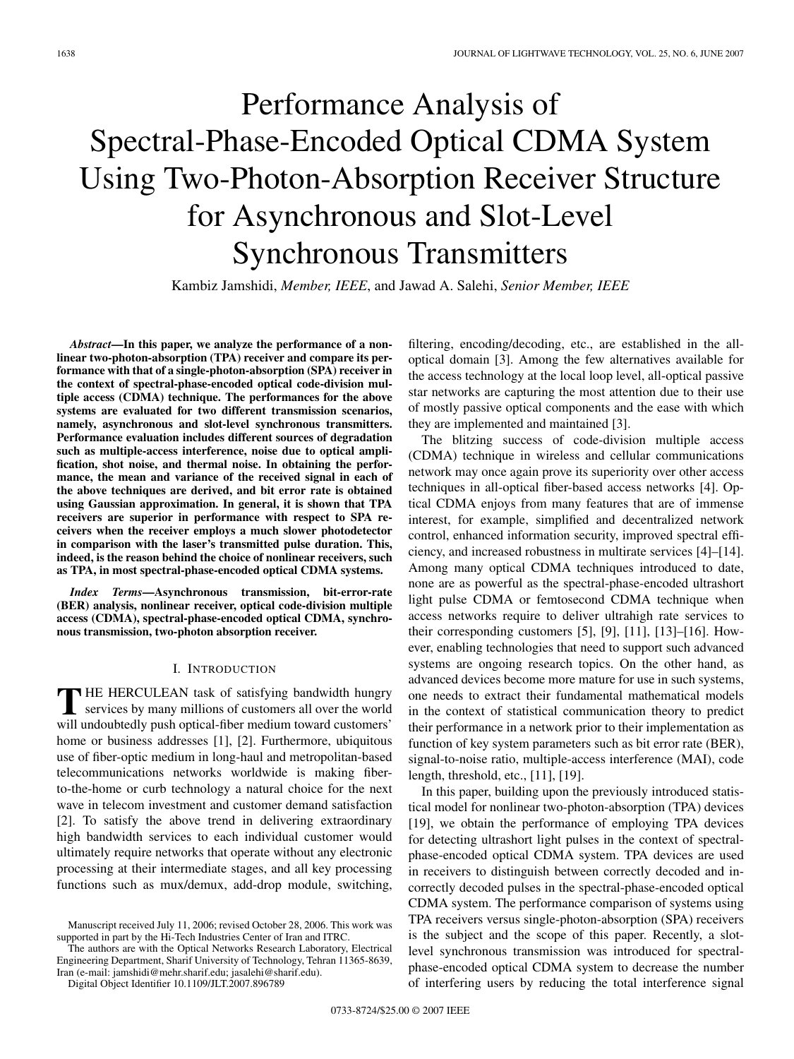# Performance Analysis of Spectral-Phase-Encoded Optical CDMA System Using Two-Photon-Absorption Receiver Structure for Asynchronous and Slot-Level Synchronous Transmitters

Kambiz Jamshidi, *Member, IEEE*, and Jawad A. Salehi, *Senior Member, IEEE*

*Abstract***—In this paper, we analyze the performance of a nonlinear two-photon-absorption (TPA) receiver and compare its performance with that of a single-photon-absorption (SPA) receiver in the context of spectral-phase-encoded optical code-division multiple access (CDMA) technique. The performances for the above systems are evaluated for two different transmission scenarios, namely, asynchronous and slot-level synchronous transmitters. Performance evaluation includes different sources of degradation such as multiple-access interference, noise due to optical amplification, shot noise, and thermal noise. In obtaining the performance, the mean and variance of the received signal in each of the above techniques are derived, and bit error rate is obtained using Gaussian approximation. In general, it is shown that TPA receivers are superior in performance with respect to SPA receivers when the receiver employs a much slower photodetector in comparison with the laser's transmitted pulse duration. This, indeed, is the reason behind the choice of nonlinear receivers, such as TPA, in most spectral-phase-encoded optical CDMA systems.**

*Index Terms***—Asynchronous transmission, bit-error-rate (BER) analysis, nonlinear receiver, optical code-division multiple access (CDMA), spectral-phase-encoded optical CDMA, synchronous transmission, two-photon absorption receiver.**

# I. INTRODUCTION

**T** HE HERCULEAN task of satisfying bandwidth hungry services by many millions of customers all over the world will undoubtedly push optical-fiber medium toward customers' home or business addresses [1], [2]. Furthermore, ubiquitous use of fiber-optic medium in long-haul and metropolitan-based telecommunications networks worldwide is making fiberto-the-home or curb technology a natural choice for the next wave in telecom investment and customer demand satisfaction [2]. To satisfy the above trend in delivering extraordinary high bandwidth services to each individual customer would ultimately require networks that operate without any electronic processing at their intermediate stages, and all key processing functions such as mux/demux, add-drop module, switching,

The authors are with the Optical Networks Research Laboratory, Electrical Engineering Department, Sharif University of Technology, Tehran 11365-8639, Iran (e-mail: jamshidi@mehr.sharif.edu; jasalehi@sharif.edu).

Digital Object Identifier 10.1109/JLT.2007.896789

filtering, encoding/decoding, etc., are established in the alloptical domain [3]. Among the few alternatives available for the access technology at the local loop level, all-optical passive star networks are capturing the most attention due to their use of mostly passive optical components and the ease with which they are implemented and maintained [3].

The blitzing success of code-division multiple access (CDMA) technique in wireless and cellular communications network may once again prove its superiority over other access techniques in all-optical fiber-based access networks [4]. Optical CDMA enjoys from many features that are of immense interest, for example, simplified and decentralized network control, enhanced information security, improved spectral efficiency, and increased robustness in multirate services [4]–[14]. Among many optical CDMA techniques introduced to date, none are as powerful as the spectral-phase-encoded ultrashort light pulse CDMA or femtosecond CDMA technique when access networks require to deliver ultrahigh rate services to their corresponding customers [5], [9], [11], [13]–[16]. However, enabling technologies that need to support such advanced systems are ongoing research topics. On the other hand, as advanced devices become more mature for use in such systems, one needs to extract their fundamental mathematical models in the context of statistical communication theory to predict their performance in a network prior to their implementation as function of key system parameters such as bit error rate (BER), signal-to-noise ratio, multiple-access interference (MAI), code length, threshold, etc., [11], [19].

In this paper, building upon the previously introduced statistical model for nonlinear two-photon-absorption (TPA) devices [19], we obtain the performance of employing TPA devices for detecting ultrashort light pulses in the context of spectralphase-encoded optical CDMA system. TPA devices are used in receivers to distinguish between correctly decoded and incorrectly decoded pulses in the spectral-phase-encoded optical CDMA system. The performance comparison of systems using TPA receivers versus single-photon-absorption (SPA) receivers is the subject and the scope of this paper. Recently, a slotlevel synchronous transmission was introduced for spectralphase-encoded optical CDMA system to decrease the number of interfering users by reducing the total interference signal

Manuscript received July 11, 2006; revised October 28, 2006. This work was supported in part by the Hi-Tech Industries Center of Iran and ITRC.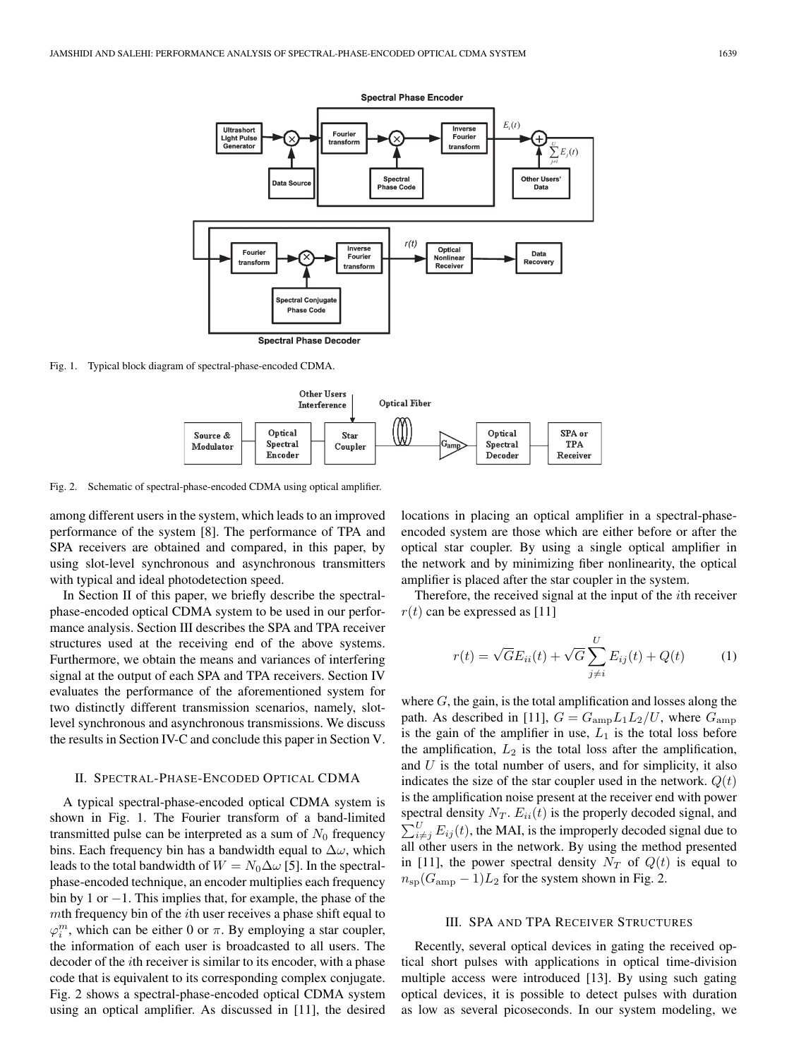

Fig. 1. Typical block diagram of spectral-phase-encoded CDMA.



Fig. 2. Schematic of spectral-phase-encoded CDMA using optical amplifier.

among different users in the system, which leads to an improved performance of the system [8]. The performance of TPA and SPA receivers are obtained and compared, in this paper, by using slot-level synchronous and asynchronous transmitters with typical and ideal photodetection speed.

In Section II of this paper, we briefly describe the spectralphase-encoded optical CDMA system to be used in our performance analysis. Section III describes the SPA and TPA receiver structures used at the receiving end of the above systems. Furthermore, we obtain the means and variances of interfering signal at the output of each SPA and TPA receivers. Section IV evaluates the performance of the aforementioned system for two distinctly different transmission scenarios, namely, slotlevel synchronous and asynchronous transmissions. We discuss the results in Section IV-C and conclude this paper in Section V.

# II. SPECTRAL-PHASE-ENCODED OPTICAL CDMA

A typical spectral-phase-encoded optical CDMA system is shown in Fig. 1. The Fourier transform of a band-limited transmitted pulse can be interpreted as a sum of  $N_0$  frequency bins. Each frequency bin has a bandwidth equal to  $\Delta\omega$ , which leads to the total bandwidth of  $W = N_0 \Delta \omega$  [5]. In the spectralphase-encoded technique, an encoder multiplies each frequency bin by 1 or −1. This implies that, for example, the phase of the mth frequency bin of the ith user receives a phase shift equal to  $\varphi_i^m$ , which can be either 0 or  $\pi$ . By employing a star coupler, the information of each user is broadcasted to all users. The decoder of the ith receiver is similar to its encoder, with a phase code that is equivalent to its corresponding complex conjugate. Fig. 2 shows a spectral-phase-encoded optical CDMA system using an optical amplifier. As discussed in [11], the desired

locations in placing an optical amplifier in a spectral-phaseencoded system are those which are either before or after the optical star coupler. By using a single optical amplifier in the network and by minimizing fiber nonlinearity, the optical amplifier is placed after the star coupler in the system.

Therefore, the received signal at the input of the ith receiver  $r(t)$  can be expressed as [11]

$$
r(t) = \sqrt{G}E_{ii}(t) + \sqrt{G}\sum_{j \neq i}^{U}E_{ij}(t) + Q(t)
$$
 (1)

where  $G$ , the gain, is the total amplification and losses along the path. As described in [11],  $G = G_{\text{amp}} L_1 L_2 / U$ , where  $G_{\text{amp}}$ is the gain of the amplifier in use,  $L_1$  is the total loss before the amplification,  $L_2$  is the total loss after the amplification, and  $U$  is the total number of users, and for simplicity, it also indicates the size of the star coupler used in the network.  $Q(t)$ is the amplification noise present at the receiver end with power spectral density  $N_T$ .  $E_{ii}(t)$  is the properly decoded signal, and  $\sum_{i \neq j}^{U} E_{ij}(t)$ , the MAI, is the improperly decoded signal due to all other users in the network. By using the method presented in [11], the power spectral density  $N_T$  of  $Q(t)$  is equal to  $n_{\rm sp}(G_{\rm amp} - 1)L_2$  for the system shown in Fig. 2.

# III. SPA AND TPA RECEIVER STRUCTURES

Recently, several optical devices in gating the received optical short pulses with applications in optical time-division multiple access were introduced [13]. By using such gating optical devices, it is possible to detect pulses with duration as low as several picoseconds. In our system modeling, we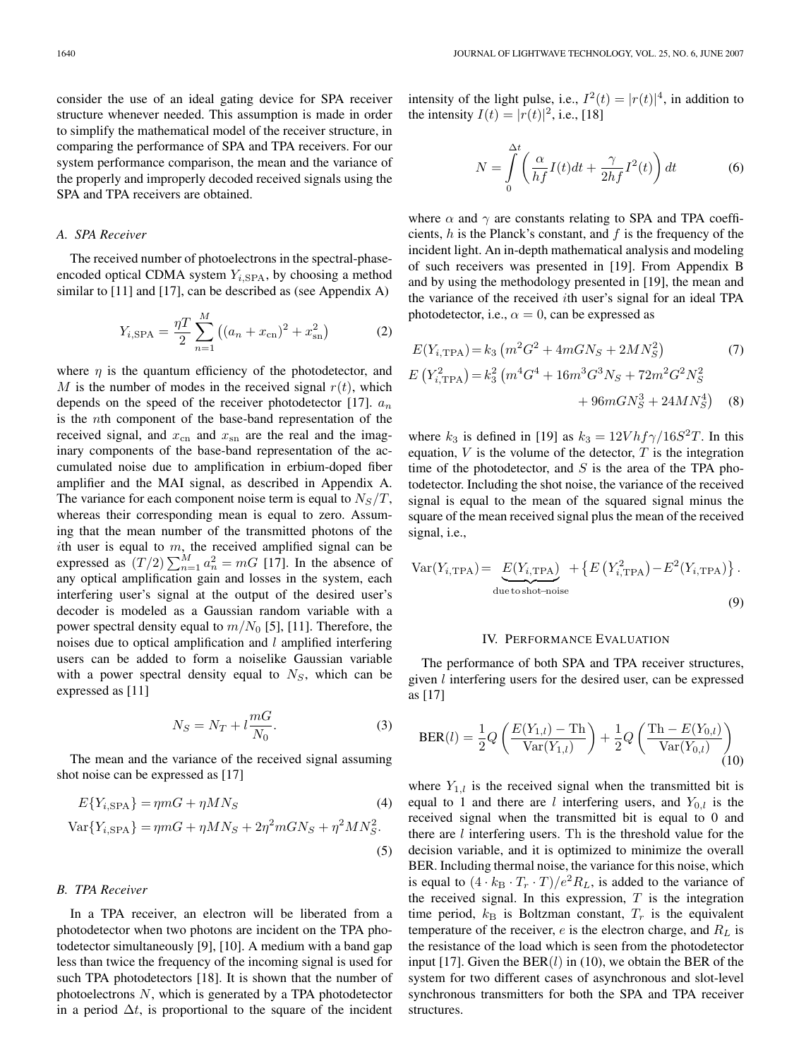consider the use of an ideal gating device for SPA receiver structure whenever needed. This assumption is made in order to simplify the mathematical model of the receiver structure, in comparing the performance of SPA and TPA receivers. For our system performance comparison, the mean and the variance of the properly and improperly decoded received signals using the SPA and TPA receivers are obtained.

# *A. SPA Receiver*

The received number of photoelectrons in the spectral-phaseencoded optical CDMA system Y*i,*SPA, by choosing a method similar to [11] and [17], can be described as (see Appendix A)

$$
Y_{i,\text{SPA}} = \frac{\eta T}{2} \sum_{n=1}^{M} \left( (a_n + x_{\text{cn}})^2 + x_{\text{sn}}^2 \right)
$$
 (2)

where  $\eta$  is the quantum efficiency of the photodetector, and M is the number of modes in the received signal  $r(t)$ , which depends on the speed of the receiver photodetector [17]. a*<sup>n</sup>* is the nth component of the base-band representation of the received signal, and  $x_{cn}$  and  $x_{sn}$  are the real and the imaginary components of the base-band representation of the accumulated noise due to amplification in erbium-doped fiber amplifier and the MAI signal, as described in Appendix A. The variance for each component noise term is equal to  $N_S/T$ , whereas their corresponding mean is equal to zero. Assuming that the mean number of the transmitted photons of the ith user is equal to  $m$ , the received amplified signal can be expressed as  $(T/2) \sum_{n=1}^{M} a_n^2 = mG$  [17]. In the absence of any optical amplification gain and losses in the system, each interfering user's signal at the output of the desired user's decoder is modeled as a Gaussian random variable with a power spectral density equal to  $m/N_0$  [5], [11]. Therefore, the noises due to optical amplification and l amplified interfering users can be added to form a noiselike Gaussian variable with a power spectral density equal to N*S*, which can be expressed as [11]

$$
N_S = N_T + l \frac{mG}{N_0}.
$$
\n(3)

The mean and the variance of the received signal assuming shot noise can be expressed as [17]

$$
E{Yi,SPA} = \eta mG + \eta MN_S
$$
\n
$$
\text{Var}{Yi,SPA} = \eta mG + \eta MN_S + 2\eta^2 mGN_S + \eta^2 MN_S^2.
$$
\n(4)

# *B. TPA Receiver*

In a TPA receiver, an electron will be liberated from a photodetector when two photons are incident on the TPA photodetector simultaneously [9], [10]. A medium with a band gap less than twice the frequency of the incoming signal is used for such TPA photodetectors [18]. It is shown that the number of photoelectrons N, which is generated by a TPA photodetector in a period  $\Delta t$ , is proportional to the square of the incident intensity of the light pulse, i.e.,  $I^2(t) = |r(t)|^4$ , in addition to the intensity  $I(t) = |r(t)|^2$ , i.e., [18]

$$
N = \int_{0}^{\Delta t} \left( \frac{\alpha}{hf} I(t)dt + \frac{\gamma}{2hf} I^2(t) \right) dt
$$
 (6)

where  $\alpha$  and  $\gamma$  are constants relating to SPA and TPA coefficients,  $h$  is the Planck's constant, and  $f$  is the frequency of the incident light. An in-depth mathematical analysis and modeling of such receivers was presented in [19]. From Appendix B and by using the methodology presented in [19], the mean and the variance of the received ith user's signal for an ideal TPA photodetector, i.e.,  $\alpha = 0$ , can be expressed as

$$
E(Y_{i, \text{TPA}}) = k_3 \left( m^2 G^2 + 4m G N_S + 2M N_S^2 \right) \tag{7}
$$
  

$$
E(Y_{i, \text{TPA}}^2) = k_3^2 \left( m^4 G^4 + 16 m^3 G^3 N_S + 72 m^2 G^2 N_S^2 \right) + 96 m G N_S^3 + 24 M N_S^4 \right) \tag{8}
$$

where  $k_3$  is defined in [19] as  $k_3 = 12Vhf\gamma/16S^2T$ . In this equation,  $V$  is the volume of the detector,  $T$  is the integration time of the photodetector, and  $S$  is the area of the TPA photodetector. Including the shot noise, the variance of the received signal is equal to the mean of the squared signal minus the square of the mean received signal plus the mean of the received signal, i.e.,

$$
Var(Y_{i,TPA}) = E(Y_{i,TPA}) + \left\{ E(Y_{i,TPA}^2) - E^2(Y_{i,TPA}) \right\}.
$$
  
due to shot-noise\n(9)

# IV. PERFORMANCE EVALUATION

The performance of both SPA and TPA receiver structures, given l interfering users for the desired user, can be expressed as [17]

$$
BER(l) = \frac{1}{2}Q\left(\frac{E(Y_{1,l}) - Th}{Var(Y_{1,l})}\right) + \frac{1}{2}Q\left(\frac{Th - E(Y_{0,l})}{Var(Y_{0,l})}\right)
$$
(10)

where  $Y_{1,l}$  is the received signal when the transmitted bit is equal to 1 and there are *l* interfering users, and  $Y_{0,l}$  is the received signal when the transmitted bit is equal to 0 and there are  $l$  interfering users. Th is the threshold value for the decision variable, and it is optimized to minimize the overall BER. Including thermal noise, the variance for this noise, which is equal to  $(4 \cdot k_B \cdot T_r \cdot T)/e^2 R_L$ , is added to the variance of the received signal. In this expression,  $T$  is the integration time period,  $k_B$  is Boltzman constant,  $T_r$  is the equivalent temperature of the receiver, e is the electron charge, and R*<sup>L</sup>* is the resistance of the load which is seen from the photodetector input [17]. Given the  $BER(l)$  in (10), we obtain the BER of the system for two different cases of asynchronous and slot-level synchronous transmitters for both the SPA and TPA receiver structures.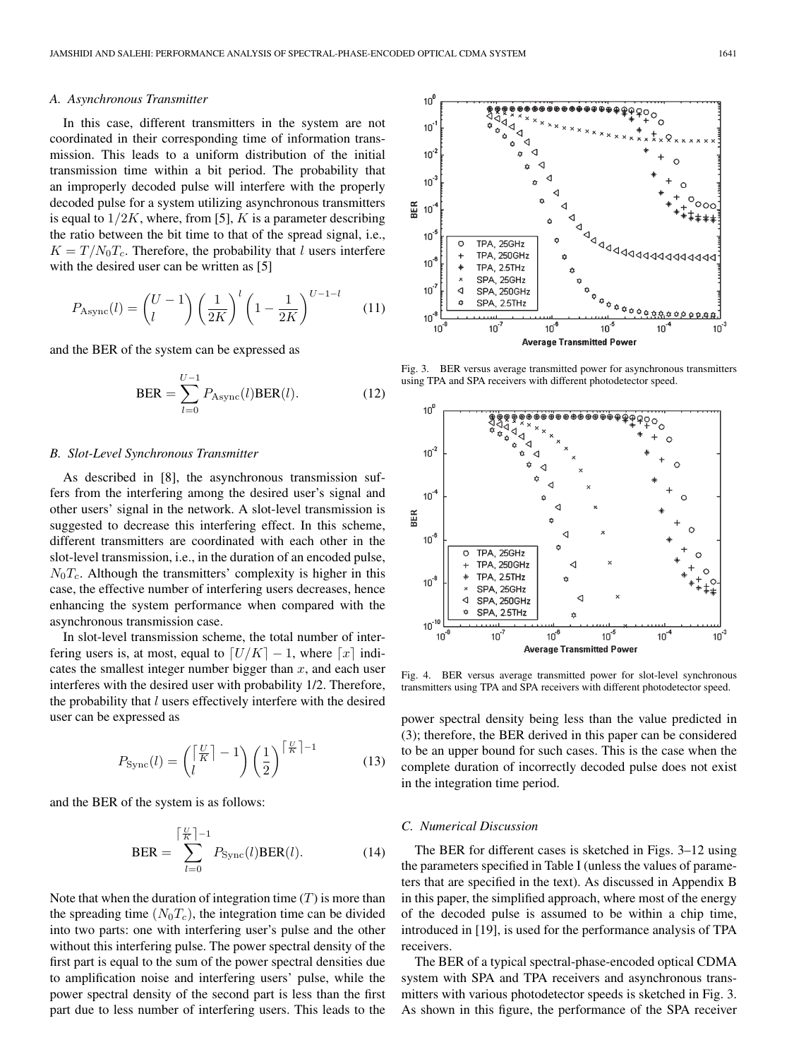#### *A. Asynchronous Transmitter*

In this case, different transmitters in the system are not coordinated in their corresponding time of information transmission. This leads to a uniform distribution of the initial transmission time within a bit period. The probability that an improperly decoded pulse will interfere with the properly decoded pulse for a system utilizing asynchronous transmitters is equal to  $1/2K$ , where, from [5], K is a parameter describing the ratio between the bit time to that of the spread signal, i.e.,  $K = T/N_0T_c$ . Therefore, the probability that l users interfere with the desired user can be written as [5]

$$
P_{\text{Async}}(l) = \binom{U-1}{l} \left(\frac{1}{2K}\right)^l \left(1 - \frac{1}{2K}\right)^{U-1-l} \tag{11}
$$

and the BER of the system can be expressed as

$$
\text{BER} = \sum_{l=0}^{U-1} P_{\text{Async}}(l) \text{BER}(l). \tag{12}
$$

### *B. Slot-Level Synchronous Transmitter*

As described in [8], the asynchronous transmission suffers from the interfering among the desired user's signal and other users' signal in the network. A slot-level transmission is suggested to decrease this interfering effect. In this scheme, different transmitters are coordinated with each other in the slot-level transmission, i.e., in the duration of an encoded pulse,  $N_0T_c$ . Although the transmitters' complexity is higher in this case, the effective number of interfering users decreases, hence enhancing the system performance when compared with the asynchronous transmission case.

In slot-level transmission scheme, the total number of interfering users is, at most, equal to  $[U/K] - 1$ , where  $[x]$  indicates the smallest integer number bigger than  $x$ , and each user interferes with the desired user with probability 1/2. Therefore, the probability that  $l$  users effectively interfere with the desired user can be expressed as

$$
P_{\text{sync}}(l) = \binom{\lceil \frac{U}{K} \rceil - 1}{l} \left(\frac{1}{2}\right)^{\lceil \frac{U}{K} \rceil - 1} \tag{13}
$$

and the BER of the system is as follows:

$$
\text{BER} = \sum_{l=0}^{\lceil \frac{W}{R} \rceil - 1} P_{\text{sync}}(l) \text{BER}(l). \tag{14}
$$

Note that when the duration of integration time  $(T)$  is more than the spreading time  $(N_0T_c)$ , the integration time can be divided into two parts: one with interfering user's pulse and the other without this interfering pulse. The power spectral density of the first part is equal to the sum of the power spectral densities due to amplification noise and interfering users' pulse, while the power spectral density of the second part is less than the first part due to less number of interfering users. This leads to the



Fig. 3. BER versus average transmitted power for asynchronous transmitters using TPA and SPA receivers with different photodetector speed.



Fig. 4. BER versus average transmitted power for slot-level synchronous transmitters using TPA and SPA receivers with different photodetector speed.

power spectral density being less than the value predicted in (3); therefore, the BER derived in this paper can be considered to be an upper bound for such cases. This is the case when the complete duration of incorrectly decoded pulse does not exist in the integration time period.

# *C. Numerical Discussion*

The BER for different cases is sketched in Figs. 3–12 using the parameters specified in Table I (unless the values of parameters that are specified in the text). As discussed in Appendix B in this paper, the simplified approach, where most of the energy of the decoded pulse is assumed to be within a chip time, introduced in [19], is used for the performance analysis of TPA receivers.

The BER of a typical spectral-phase-encoded optical CDMA system with SPA and TPA receivers and asynchronous transmitters with various photodetector speeds is sketched in Fig. 3. As shown in this figure, the performance of the SPA receiver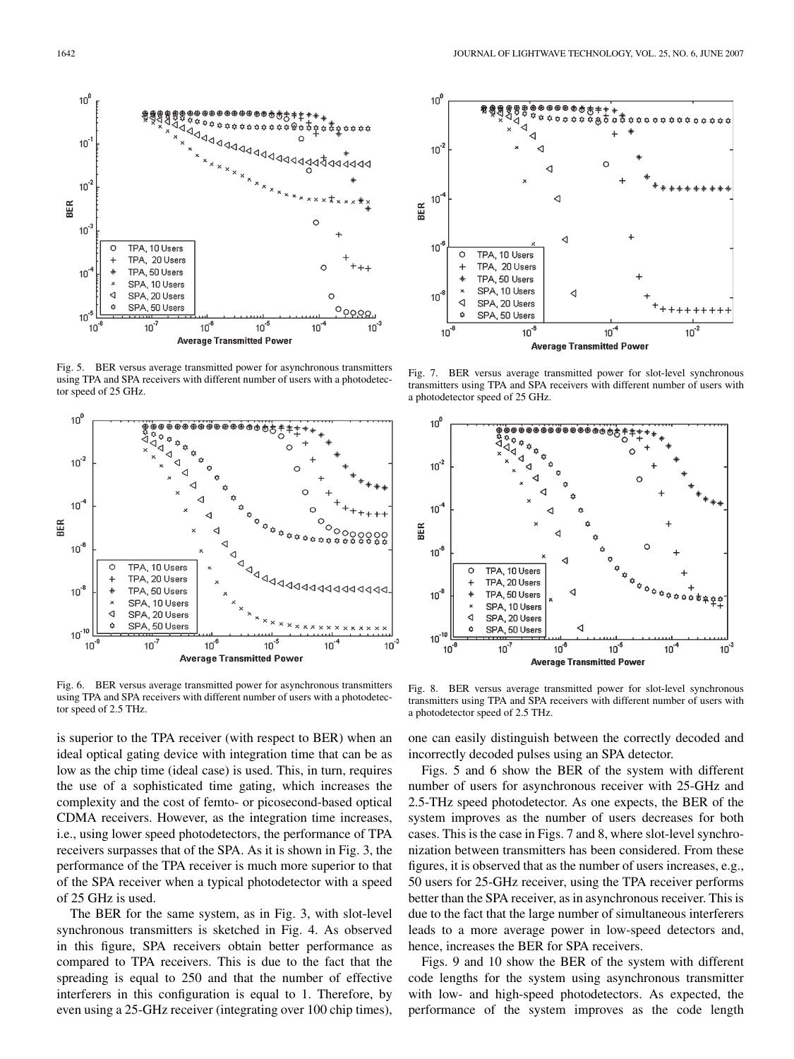

Fig. 5. BER versus average transmitted power for asynchronous transmitters using TPA and SPA receivers with different number of users with a photodetector speed of 25 GHz.



Fig. 6. BER versus average transmitted power for asynchronous transmitters using TPA and SPA receivers with different number of users with a photodetector speed of 2.5 THz.

is superior to the TPA receiver (with respect to BER) when an ideal optical gating device with integration time that can be as low as the chip time (ideal case) is used. This, in turn, requires the use of a sophisticated time gating, which increases the complexity and the cost of femto- or picosecond-based optical CDMA receivers. However, as the integration time increases, i.e., using lower speed photodetectors, the performance of TPA receivers surpasses that of the SPA. As it is shown in Fig. 3, the performance of the TPA receiver is much more superior to that of the SPA receiver when a typical photodetector with a speed of 25 GHz is used.

The BER for the same system, as in Fig. 3, with slot-level synchronous transmitters is sketched in Fig. 4. As observed in this figure, SPA receivers obtain better performance as compared to TPA receivers. This is due to the fact that the spreading is equal to 250 and that the number of effective interferers in this configuration is equal to 1. Therefore, by even using a 25-GHz receiver (integrating over 100 chip times),



Fig. 7. BER versus average transmitted power for slot-level synchronous transmitters using TPA and SPA receivers with different number of users with a photodetector speed of 25 GHz.



Fig. 8. BER versus average transmitted power for slot-level synchronous transmitters using TPA and SPA receivers with different number of users with a photodetector speed of 2.5 THz.

one can easily distinguish between the correctly decoded and incorrectly decoded pulses using an SPA detector.

Figs. 5 and 6 show the BER of the system with different number of users for asynchronous receiver with 25-GHz and 2.5-THz speed photodetector. As one expects, the BER of the system improves as the number of users decreases for both cases. This is the case in Figs. 7 and 8, where slot-level synchronization between transmitters has been considered. From these figures, it is observed that as the number of users increases, e.g., 50 users for 25-GHz receiver, using the TPA receiver performs better than the SPA receiver, as in asynchronous receiver. This is due to the fact that the large number of simultaneous interferers leads to a more average power in low-speed detectors and, hence, increases the BER for SPA receivers.

Figs. 9 and 10 show the BER of the system with different code lengths for the system using asynchronous transmitter with low- and high-speed photodetectors. As expected, the performance of the system improves as the code length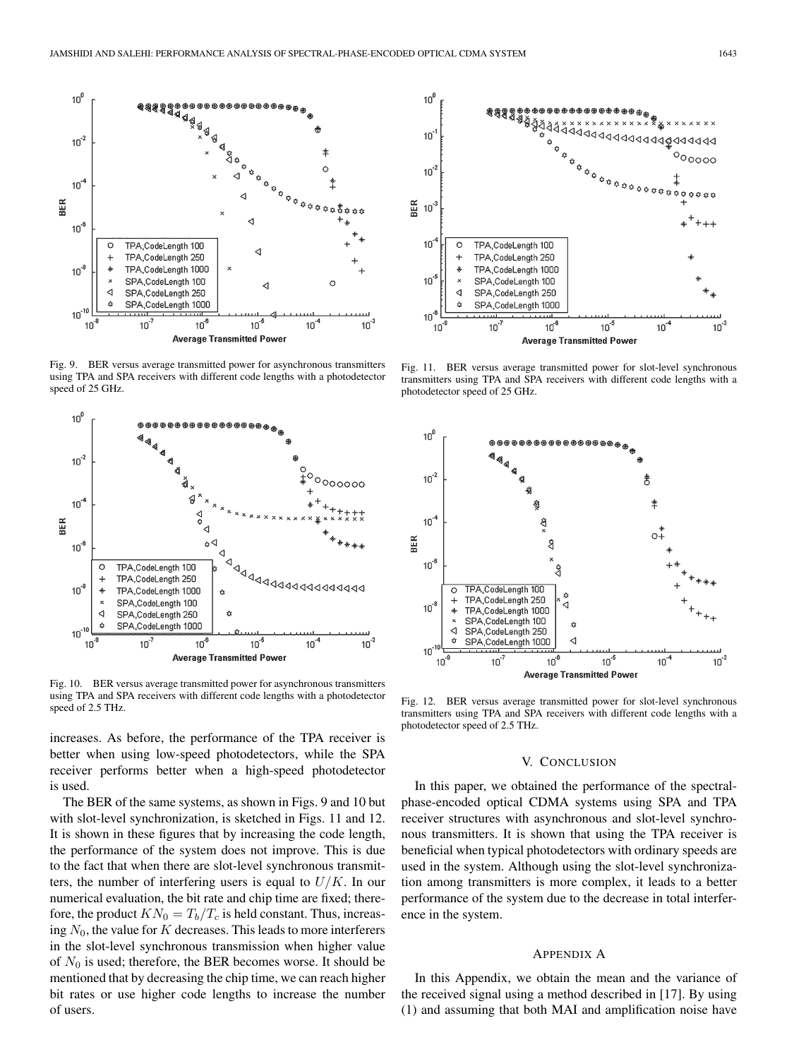

Fig. 9. BER versus average transmitted power for asynchronous transmitters using TPA and SPA receivers with different code lengths with a photodetector speed of 25 GHz.



Fig. 10. BER versus average transmitted power for asynchronous transmitters using TPA and SPA receivers with different code lengths with a photodetector speed of 2.5 THz.

increases. As before, the performance of the TPA receiver is better when using low-speed photodetectors, while the SPA receiver performs better when a high-speed photodetector is used.

The BER of the same systems, as shown in Figs. 9 and 10 but with slot-level synchronization, is sketched in Figs. 11 and 12. It is shown in these figures that by increasing the code length, the performance of the system does not improve. This is due to the fact that when there are slot-level synchronous transmitters, the number of interfering users is equal to  $U/K$ . In our numerical evaluation, the bit rate and chip time are fixed; therefore, the product  $KN_0 = T_b/T_c$  is held constant. Thus, increasing  $N_0$ , the value for K decreases. This leads to more interferers in the slot-level synchronous transmission when higher value of  $N_0$  is used; therefore, the BER becomes worse. It should be mentioned that by decreasing the chip time, we can reach higher bit rates or use higher code lengths to increase the number of users.



Fig. 11. BER versus average transmitted power for slot-level synchronous transmitters using TPA and SPA receivers with different code lengths with a photodetector speed of 25 GHz.



Fig. 12. BER versus average transmitted power for slot-level synchronous transmitters using TPA and SPA receivers with different code lengths with a photodetector speed of 2.5 THz.

# V. CONCLUSION

In this paper, we obtained the performance of the spectralphase-encoded optical CDMA systems using SPA and TPA receiver structures with asynchronous and slot-level synchronous transmitters. It is shown that using the TPA receiver is beneficial when typical photodetectors with ordinary speeds are used in the system. Although using the slot-level synchronization among transmitters is more complex, it leads to a better performance of the system due to the decrease in total interference in the system.

# APPENDIX A

In this Appendix, we obtain the mean and the variance of the received signal using a method described in [17]. By using (1) and assuming that both MAI and amplification noise have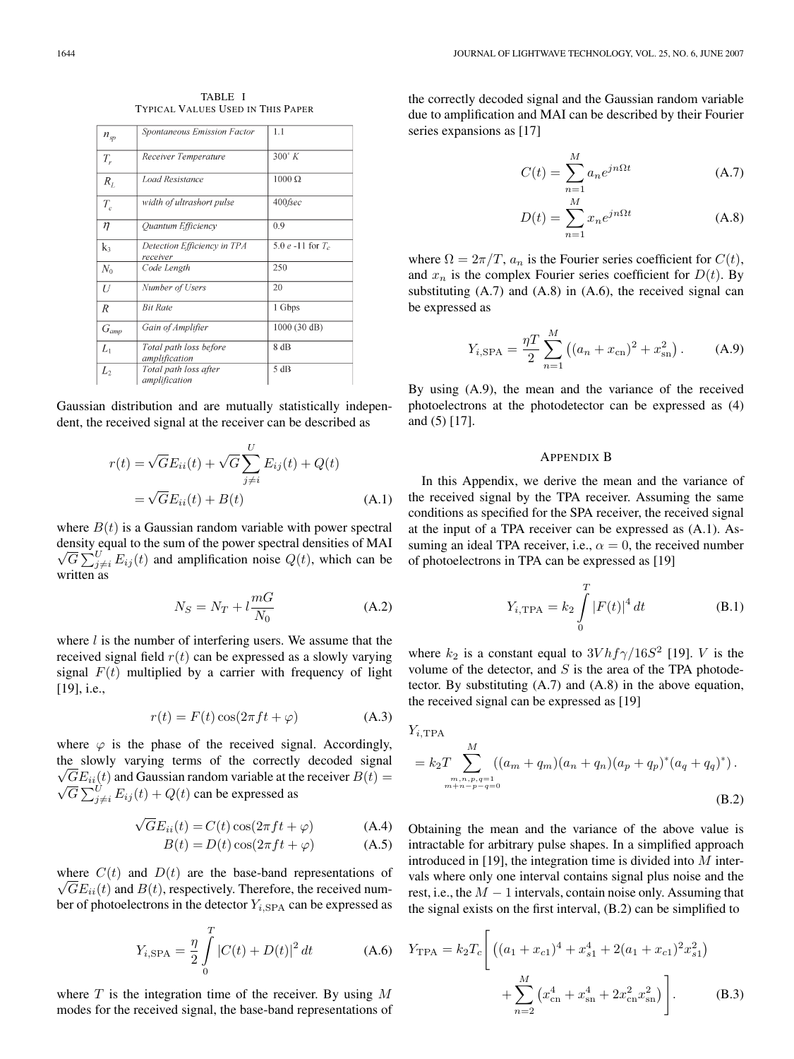| $n_{sp}$  | Spontaneous Emission Factor             | 1.1                   |
|-----------|-----------------------------------------|-----------------------|
| $T_{r}$   | Receiver Temperature                    | $300^\circ K$         |
| $R_L$     | <b>Load Resistance</b>                  | $1000 \Omega$         |
| $T_c$     | width of ultrashort pulse               | $400$ fsec            |
| η         | Ouantum Efficiency                      | 0.9                   |
| k3        | Detection Efficiency in TPA<br>receiver | 5.0 $e$ -11 for $T_c$ |
| $N_0$     | Code Length                             | 250                   |
| U         | Number of Users                         | 20                    |
| R         | <b>Bit Rate</b>                         | 1 Gbps                |
| $G_{amp}$ | Gain of Amplifier                       | 1000 (30 dB)          |
| $L_1$     | Total path loss before<br>amplification | 8 dB                  |
| L,        | Total path loss after<br>amplification  | 5 dB                  |

TABLE I TYPICAL VALUES USED IN THIS PAPER

Gaussian distribution and are mutually statistically independent, the received signal at the receiver can be described as

$$
r(t) = \sqrt{G}E_{ii}(t) + \sqrt{G}\sum_{j \neq i}^{U} E_{ij}(t) + Q(t)
$$

$$
= \sqrt{G}E_{ii}(t) + B(t)
$$
(A.1)

where  $B(t)$  is a Gaussian random variable with power spectral density equal to the sum of the power spectral densities of MAI  $\overline{G} \sum_{j \neq i}^{U} E_{ij}(t)$  and amplification noise  $Q(t)$ , which can be written as

$$
N_S = N_T + l \frac{mG}{N_0}
$$
 (A.2)

where  $l$  is the number of interfering users. We assume that the received signal field  $r(t)$  can be expressed as a slowly varying signal  $F(t)$  multiplied by a carrier with frequency of light [19], *i.e.*,

$$
r(t) = F(t)\cos(2\pi ft + \varphi)
$$
 (A.3)

where  $\varphi$  is the phase of the received signal. Accordingly, the slowly varying terms of the correctly decoded signal  $\sqrt{GE}_{ii}(t)$  and Gaussian random variable at the receiver  $B(t) = \sqrt{GE}_{ii}(t)$  $\overline{G} \sum_{j \neq i}^{U} E_{ij}(t) + Q(t)$  can be expressed as

$$
\sqrt{G}E_{ii}(t) = C(t)\cos(2\pi ft + \varphi)
$$
 (A.4)

$$
B(t) = D(t)\cos(2\pi ft + \varphi)
$$
 (A.5)

where  $C(t)$  and  $D(t)$  are the base-band representations of  $\sqrt{GE_{ii}(t)}$  and  $B(t)$ , respectively. Therefore, the received number of photoelectrons in the detector  $Y_{i,SPA}$  can be expressed as

$$
Y_{i,\text{SPA}} = \frac{\eta}{2} \int_{0}^{T} |C(t) + D(t)|^2 dt
$$
 (A.6)

where  $T$  is the integration time of the receiver. By using  $M$ modes for the received signal, the base-band representations of the correctly decoded signal and the Gaussian random variable due to amplification and MAI can be described by their Fourier series expansions as [17]

$$
C(t) = \sum_{n=1}^{M} a_n e^{jn\Omega t}
$$
 (A.7)

$$
D(t) = \sum_{n=1}^{M} x_n e^{jn\Omega t}
$$
 (A.8)

where  $\Omega = 2\pi/T$ ,  $a_n$  is the Fourier series coefficient for  $C(t)$ , and  $x_n$  is the complex Fourier series coefficient for  $D(t)$ . By substituting (A.7) and (A.8) in (A.6), the received signal can be expressed as

$$
Y_{i,\text{SPA}} = \frac{\eta T}{2} \sum_{n=1}^{M} \left( (a_n + x_{\text{cn}})^2 + x_{\text{sn}}^2 \right). \tag{A.9}
$$

By using (A.9), the mean and the variance of the received photoelectrons at the photodetector can be expressed as (4) and (5) [17].

## APPENDIX B

In this Appendix, we derive the mean and the variance of the received signal by the TPA receiver. Assuming the same conditions as specified for the SPA receiver, the received signal at the input of a TPA receiver can be expressed as (A.1). Assuming an ideal TPA receiver, i.e.,  $\alpha = 0$ , the received number of photoelectrons in TPA can be expressed as [19]

$$
Y_{i,\text{TPA}} = k_2 \int_{0}^{T} |F(t)|^4 dt
$$
 (B.1)

where  $k_2$  is a constant equal to  $3Vhf\gamma/16S^2$  [19]. V is the volume of the detector, and  $S$  is the area of the TPA photodetector. By substituting (A.7) and (A.8) in the above equation, the received signal can be expressed as [19]

$$
Y_{i, \text{TPA}} = k_2 T \sum_{\substack{m, n, p, q=1 \ n + n - p - q = 0}}^{M} ((a_m + q_m)(a_n + q_n)(a_p + q_p)^* (a_q + q_q)^*).
$$
\n(B.2)

Obtaining the mean and the variance of the above value is intractable for arbitrary pulse shapes. In a simplified approach introduced in  $[19]$ , the integration time is divided into  $M$  intervals where only one interval contains signal plus noise and the rest, i.e., the  $M - 1$  intervals, contain noise only. Assuming that the signal exists on the first interval, (B.2) can be simplified to

$$
Y_{\text{TPA}} = k_2 T_c \left[ \left( (a_1 + x_{c1})^4 + x_{s1}^4 + 2(a_1 + x_{c1})^2 x_{s1}^2 \right) + \sum_{n=2}^M \left( x_{\text{cn}}^4 + x_{\text{sn}}^4 + 2x_{\text{cn}}^2 x_{\text{sn}}^2 \right) \right].
$$
 (B.3)